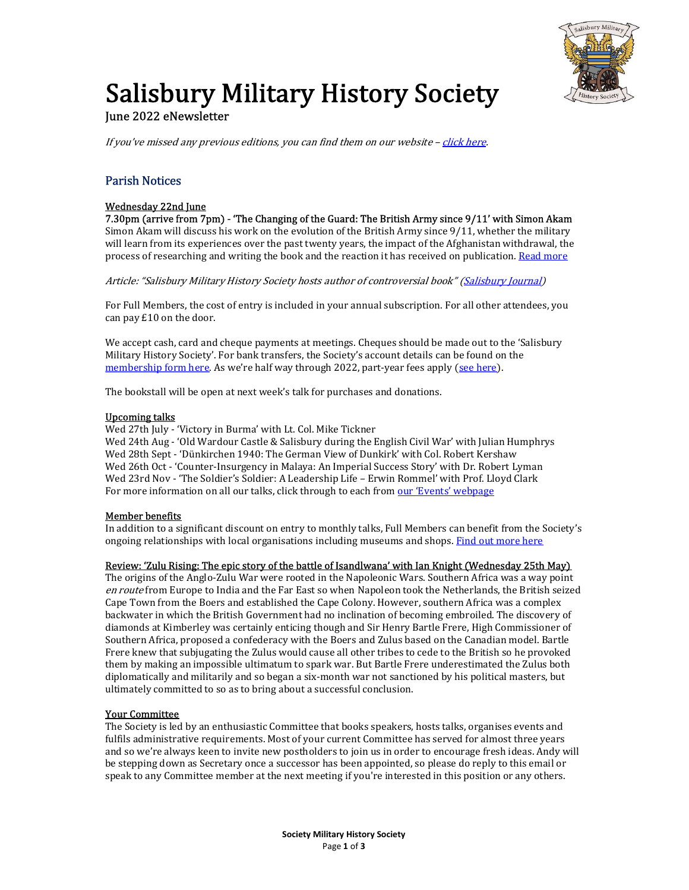

# **Salisbury Military History Society**

## June 2022 eNewsletter

If you've missed any previous editions, you can find them on our website  $-$  click here.

# Parish Notices

## Wednesday 22nd June

7.30pm (arrive from 7pm) - 'The Changing of the Guard: The British Army since 9/11' with Simon Akam Simon Akam will discuss his work on the evolution of the British Army since 9/11, whether the military will learn from its experiences over the past twenty years, the impact of the Afghanistan withdrawal, the process of researching and writing the book and the reaction it has received on publication. Read more

Article: "Salisbury Military History Society hosts author of controversial book" (Salisbury Journal)

For Full Members, the cost of entry is included in your annual subscription. For all other attendees, you can pay £10 on the door.

We accept cash, card and cheque payments at meetings. Cheques should be made out to the 'Salisbury Military History Society'. For bank transfers, the Society's account details can be found on the membership form here. As we're half way through 2022, part-year fees apply (see here).

The bookstall will be open at next week's talk for purchases and donations.

#### Upcoming talks

Wed 27th July - 'Victory in Burma' with Lt. Col. Mike Tickner

Wed 24th Aug - 'Old Wardour Castle & Salisbury during the English Civil War' with Julian Humphrys Wed 28th Sept - 'Dünkirchen 1940: The German View of Dunkirk' with Col. Robert Kershaw Wed 26th Oct - 'Counter-Insurgency in Malaya: An Imperial Success Story' with Dr. Robert Lyman Wed 23rd Nov - 'The Soldier's Soldier: A Leadership Life – Erwin Rommel' with Prof. Lloyd Clark For more information on all our talks, click through to each from our 'Events' webpage

## Member benefits

In addition to a significant discount on entry to monthly talks, Full Members can benefit from the Society's ongoing relationships with local organisations including museums and shops. Find out more here

#### Review: 'Zulu Rising: The epic story of the battle of Isandlwana' with Ian Knight (Wednesday 25th May)

The origins of the Anglo-Zulu War were rooted in the Napoleonic Wars. Southern Africa was a way point en route from Europe to India and the Far East so when Napoleon took the Netherlands, the British seized Cape Town from the Boers and established the Cape Colony. However, southern Africa was a complex backwater in which the British Government had no inclination of becoming embroiled. The discovery of diamonds at Kimberley was certainly enticing though and Sir Henry Bartle Frere, High Commissioner of Southern Africa, proposed a confederacy with the Boers and Zulus based on the Canadian model. Bartle Frere knew that subjugating the Zulus would cause all other tribes to cede to the British so he provoked them by making an impossible ultimatum to spark war. But Bartle Frere underestimated the Zulus both diplomatically and militarily and so began a six-month war not sanctioned by his political masters, but ultimately committed to so as to bring about a successful conclusion.

## Your Committee

The Society is led by an enthusiastic Committee that books speakers, hosts talks, organises events and fulfils administrative requirements. Most of your current Committee has served for almost three years and so we're always keen to invite new postholders to join us in order to encourage fresh ideas. Andy will be stepping down as Secretary once a successor has been appointed, so please do reply to this email or speak to any Committee member at the next meeting if you're interested in this position or any others.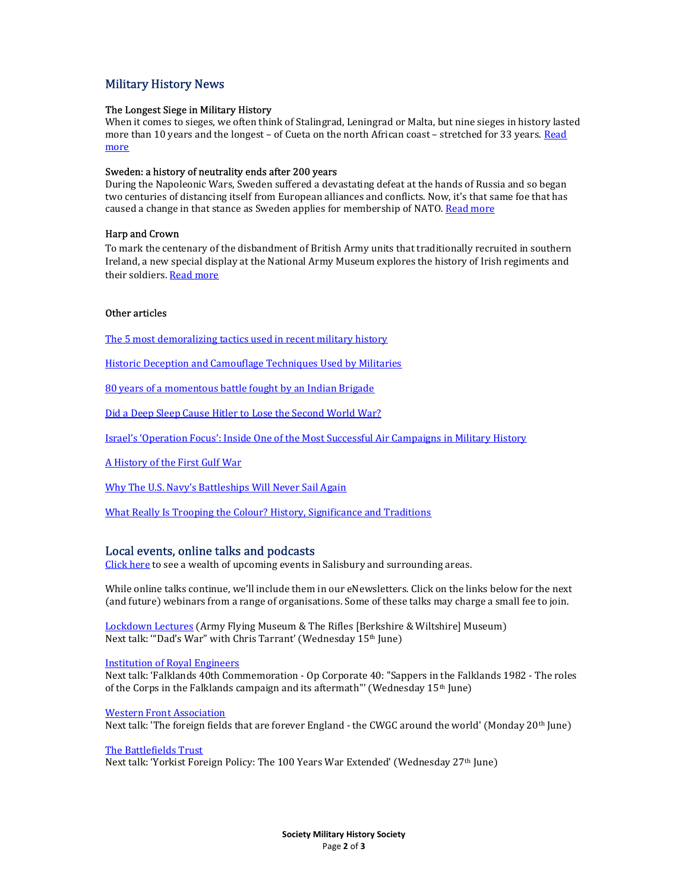## Military History News

#### The Longest Siege in Military History

When it comes to sieges, we often think of Stalingrad, Leningrad or Malta, but nine sieges in history lasted more than 10 years and the longest - of Cueta on the north African coast - stretched for 33 years. Read more

#### Sweden: a history of neutrality ends after 200 years

During the Napoleonic Wars, Sweden suffered a devastating defeat at the hands of Russia and so began two centuries of distancing itself from European alliances and conflicts. Now, it's that same foe that has caused a change in that stance as Sweden applies for membership of NATO. Read more

#### Harp and Crown

To mark the centenary of the disbandment of British Army units that traditionally recruited in southern Ireland, a new special display at the National Army Museum explores the history of Irish regiments and their soldiers. Read more

#### Other articles

The 5 most demoralizing tactics used in recent military history

Historic Deception and Camouflage Techniques Used by Militaries

80 years of a momentous battle fought by an Indian Brigade

Did a Deep Sleep Cause Hitler to Lose the Second World War?

Israel's 'Operation Focus': Inside One of the Most Successful Air Campaigns in Military History

A History of the First Gulf War

Why The U.S. Navy's Battleships Will Never Sail Again

What Really Is Trooping the Colour? History, Significance and Traditions

#### Local events, online talks and podcasts

Click here to see a wealth of upcoming events in Salisbury and surrounding areas.

While online talks continue, we'll include them in our eNewsletters. Click on the links below for the next (and future) webinars from a range of organisations. Some of these talks may charge a small fee to join.

Lockdown Lectures (Army Flying Museum & The Rifles [Berkshire & Wiltshire] Museum) Next talk: "Dad's War" with Chris Tarrant' (Wednesday 15<sup>th</sup> June)

Institution of Royal Engineers

Next talk: 'Falklands 40th Commemoration - Op Corporate 40: "Sappers in the Falklands 1982 - The roles of the Corps in the Falklands campaign and its aftermath"' (Wednesday 15<sup>th</sup> June)

Western Front Association

Next talk: 'The foreign fields that are forever England - the CWGC around the world' (Monday 20<sup>th</sup> June)

#### The Battlefields Trust

Next talk: 'Yorkist Foreign Policy: The 100 Years War Extended' (Wednesday 27th June)